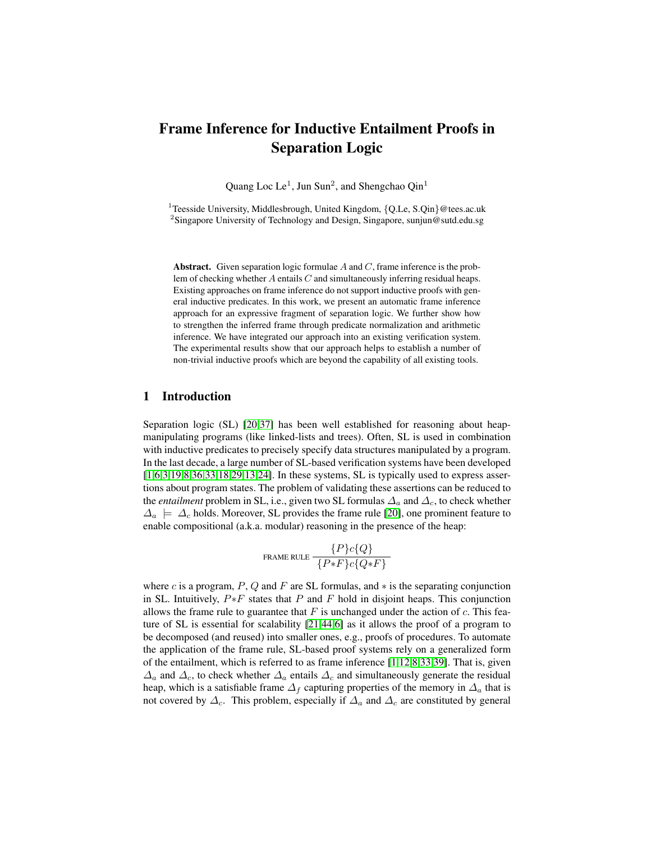# Frame Inference for Inductive Entailment Proofs in Separation Logic

Quang Loc Le<sup>1</sup>, Jun Sun<sup>2</sup>, and Shengchao Qin<sup>1</sup>

<sup>1</sup>Teesside University, Middlesbrough, United Kingdom,  ${Q.Le, S.Qin}$  @tees.ac.uk <sup>2</sup>Singapore University of Technology and Design, Singapore, sunjun@sutd.edu.sg

Abstract. Given separation logic formulae  $A$  and  $C$ , frame inference is the problem of checking whether  $A$  entails  $C$  and simultaneously inferring residual heaps. Existing approaches on frame inference do not support inductive proofs with general inductive predicates. In this work, we present an automatic frame inference approach for an expressive fragment of separation logic. We further show how to strengthen the inferred frame through predicate normalization and arithmetic inference. We have integrated our approach into an existing verification system. The experimental results show that our approach helps to establish a number of non-trivial inductive proofs which are beyond the capability of all existing tools.

# 1 Introduction

Separation logic (SL) [\[20](#page-15-0)[,37\]](#page-16-0) has been well established for reasoning about heapmanipulating programs (like linked-lists and trees). Often, SL is used in combination with inductive predicates to precisely specify data structures manipulated by a program. In the last decade, a large number of SL-based verification systems have been developed [\[1,](#page-15-1)[6,](#page-15-2)[3,](#page-15-3)[19](#page-15-4)[,8](#page-15-5)[,36](#page-16-1)[,33](#page-16-2)[,18](#page-15-6)[,29,](#page-16-3)[13,](#page-15-7)[24\]](#page-16-4). In these systems, SL is typically used to express assertions about program states. The problem of validating these assertions can be reduced to the *entailment* problem in SL, i.e., given two SL formulas  $\Delta_a$  and  $\Delta_c$ , to check whether  $\Delta_a \models \Delta_c$  holds. Moreover, SL provides the frame rule [\[20\]](#page-15-0), one prominent feature to enable compositional (a.k.a. modular) reasoning in the presence of the heap:

$$
\texttt{Frame RULE} \frac{ \{P\}c\{Q\}}{\{P*F\}c\{Q*F\}}
$$

where c is a program, P, Q and F are SL formulas, and  $*$  is the separating conjunction in SL. Intuitively,  $P * F$  states that P and F hold in disjoint heaps. This conjunction allows the frame rule to guarantee that  $F$  is unchanged under the action of  $c$ . This feature of SL is essential for scalability [\[21,](#page-15-8)[44,](#page-16-5)[6\]](#page-15-2) as it allows the proof of a program to be decomposed (and reused) into smaller ones, e.g., proofs of procedures. To automate the application of the frame rule, SL-based proof systems rely on a generalized form of the entailment, which is referred to as frame inference [\[1](#page-15-1)[,12](#page-15-9)[,8](#page-15-5)[,33](#page-16-2)[,39\]](#page-16-6). That is, given  $\Delta_a$  and  $\Delta_c$ , to check whether  $\Delta_a$  entails  $\Delta_c$  and simultaneously generate the residual heap, which is a satisfiable frame  $\Delta_f$  capturing properties of the memory in  $\Delta_a$  that is not covered by  $\Delta_c$ . This problem, especially if  $\Delta_a$  and  $\Delta_c$  are constituted by general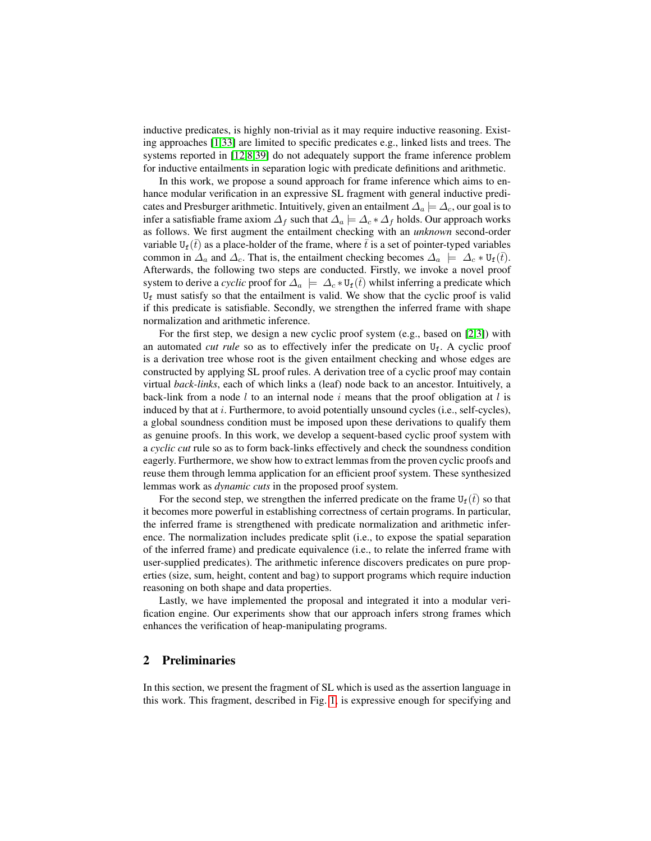inductive predicates, is highly non-trivial as it may require inductive reasoning. Existing approaches [\[1,](#page-15-1)[33\]](#page-16-2) are limited to specific predicates e.g., linked lists and trees. The systems reported in [\[12,](#page-15-9)[8,](#page-15-5)[39\]](#page-16-6) do not adequately support the frame inference problem for inductive entailments in separation logic with predicate definitions and arithmetic.

In this work, we propose a sound approach for frame inference which aims to enhance modular verification in an expressive SL fragment with general inductive predicates and Presburger arithmetic. Intuitively, given an entailment  $\Delta_a \models \Delta_c$ , our goal is to infer a satisfiable frame axiom  $\Delta_f$  such that  $\Delta_a \models \Delta_c * \Delta_f$  holds. Our approach works as follows. We first augment the entailment checking with an *unknown* second-order variable  $U_f(\bar{t})$  as a place-holder of the frame, where  $\bar{t}$  is a set of pointer-typed variables common in  $\Delta_a$  and  $\Delta_c$ . That is, the entailment checking becomes  $\Delta_a \models \Delta_c * U_f(\bar{t})$ . Afterwards, the following two steps are conducted. Firstly, we invoke a novel proof system to derive a *cyclic* proof for  $\Delta_a \models \Delta_c * U_f(\bar{t})$  whilst inferring a predicate which  $U_f$  must satisfy so that the entailment is valid. We show that the cyclic proof is valid if this predicate is satisfiable. Secondly, we strengthen the inferred frame with shape normalization and arithmetic inference.

For the first step, we design a new cyclic proof system (e.g., based on [\[2,](#page-15-10)[3\]](#page-15-3)) with an automated *cut rule* so as to effectively infer the predicate on U<sub>f</sub>. A cyclic proof is a derivation tree whose root is the given entailment checking and whose edges are constructed by applying SL proof rules. A derivation tree of a cyclic proof may contain virtual *back-links*, each of which links a (leaf) node back to an ancestor. Intuitively, a back-link from a node l to an internal node i means that the proof obligation at l is induced by that at  $i$ . Furthermore, to avoid potentially unsound cycles (i.e., self-cycles), a global soundness condition must be imposed upon these derivations to qualify them as genuine proofs. In this work, we develop a sequent-based cyclic proof system with a *cyclic cut* rule so as to form back-links effectively and check the soundness condition eagerly. Furthermore, we show how to extract lemmas from the proven cyclic proofs and reuse them through lemma application for an efficient proof system. These synthesized lemmas work as *dynamic cuts* in the proposed proof system.

For the second step, we strengthen the inferred predicate on the frame  $U_f(\bar{t})$  so that it becomes more powerful in establishing correctness of certain programs. In particular, the inferred frame is strengthened with predicate normalization and arithmetic inference. The normalization includes predicate split (i.e., to expose the spatial separation of the inferred frame) and predicate equivalence (i.e., to relate the inferred frame with user-supplied predicates). The arithmetic inference discovers predicates on pure properties (size, sum, height, content and bag) to support programs which require induction reasoning on both shape and data properties.

Lastly, we have implemented the proposal and integrated it into a modular verification engine. Our experiments show that our approach infers strong frames which enhances the verification of heap-manipulating programs.

#### 2 Preliminaries

In this section, we present the fragment of SL which is used as the assertion language in this work. This fragment, described in Fig. [1,](#page-2-0) is expressive enough for specifying and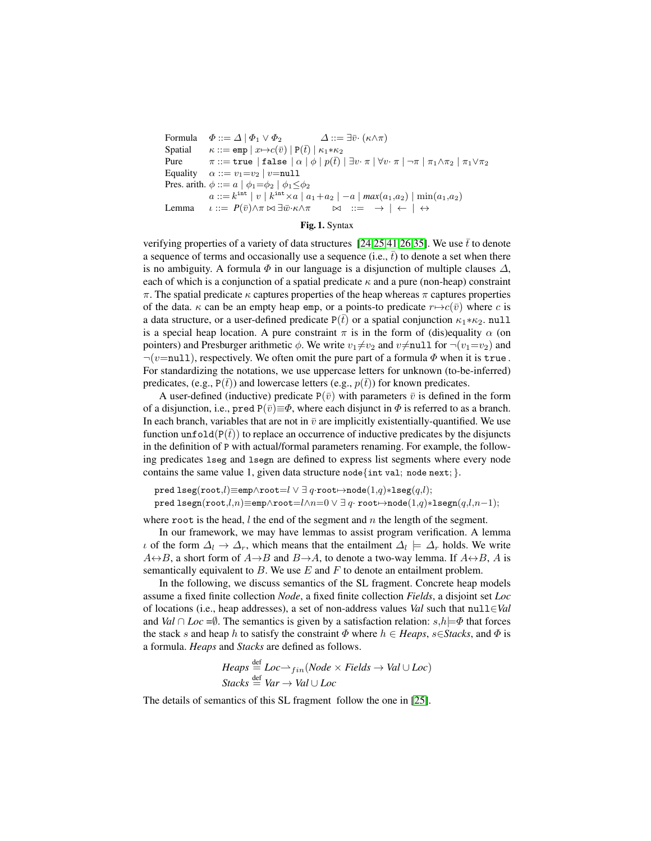```
Formula \Phi ::= \Delta | \Phi_1 \vee \Phi_2 \Delta ::= \exists \bar{v} \cdot (\kappa \wedge \pi)Spatial \kappa ::= \text{emp} | x \mapsto c(\bar{v}) | P(\bar{t}) | \kappa_1 * \kappa_2Pure \pi ::= \texttt{true} \mid \texttt{false} \mid \alpha \mid \phi \mid p(\bar{t}) \mid \exists v \cdot \pi \mid \forall v \cdot \pi \mid \neg \pi \mid \pi_1 \wedge \pi_2 \mid \pi_1 \vee \pi_2Equality \alpha ::= v_1 = v_2 \mid v = \text{null}Pres. arith. \phi ::= a \mid \phi_1 = \phi_2 \mid \phi_1 \leq \phi_2a ::= k^{\text{int}} \mid v \mid k^{\text{int}} \times a \mid a_1 + a_2 \mid -a \mid max(a_1, a_2) \mid \min(a_1, a_2)Lemma \iota ::= P(\bar{v}) \land \pi \bowtie \exists \bar{w} \cdot \kappa \land \pi \bowtie \exists \bar{w} \cdot \kappa \land \pi \bowtie \exists \bar{w} \cdot \kappa \land \pi
```
#### <span id="page-2-0"></span>Fig. 1. Syntax

verifying properties of a variety of data structures [\[24,](#page-16-4)[25,](#page-16-7)[41](#page-16-8)[,26](#page-16-9)[,35\]](#page-16-10). We use  $\bar{t}$  to denote a sequence of terms and occasionally use a sequence (i.e.,  $\bar{t}$ ) to denote a set when there is no ambiguity. A formula  $\Phi$  in our language is a disjunction of multiple clauses  $\Delta$ , each of which is a conjunction of a spatial predicate  $\kappa$  and a pure (non-heap) constraint  $\pi$ . The spatial predicate  $\kappa$  captures properties of the heap whereas  $\pi$  captures properties of the data.  $\kappa$  can be an empty heap emp, or a points-to predicate  $r \mapsto c(\bar{v})$  where c is a data structure, or a user-defined predicate  $P(\bar{t})$  or a spatial conjunction  $\kappa_1 * \kappa_2$ . null is a special heap location. A pure constraint  $\pi$  is in the form of (dis)equality  $\alpha$  (on pointers) and Presburger arithmetic  $\phi$ . We write  $v_1 \neq v_2$  and  $v \neq \text{null}$  for  $\neg(v_1=v_2)$  and  $\neg(v=null)$ , respectively. We often omit the pure part of a formula  $\Phi$  when it is true. For standardizing the notations, we use uppercase letters for unknown (to-be-inferred) predicates, (e.g.,  $P(\bar{t})$ ) and lowercase letters (e.g.,  $p(\bar{t})$ ) for known predicates.

A user-defined (inductive) predicate  $P(\bar{v})$  with parameters  $\bar{v}$  is defined in the form of a disjunction, i.e., pred  $P(\bar{v}) \equiv \Phi$ , where each disjunct in  $\Phi$  is referred to as a branch. In each branch, variables that are not in  $\bar{v}$  are implicitly existentially-quantified. We use function unfold( $P(t)$ ) to replace an occurrence of inductive predicates by the disjuncts in the definition of P with actual/formal parameters renaming. For example, the following predicates lseg and lsegn are defined to express list segments where every node contains the same value 1, given data structure node{int val; node next; }.

pred lseg(root, $l$ ) $\equiv$ emp $\land$ root $=l \lor \exists q$ ·root $\mapsto$ node $(1,q)*$ lseg $(q,l)$ ; pred lsegn(root, $l,n$ )≡emp∧root= $l\wedge n=0$   $\vee$   $\exists$  q·root $\mapsto$ node $(1,q)*$ lsegn $(q,l,n-1);$ 

where root is the head,  $l$  the end of the segment and  $n$  the length of the segment.

In our framework, we may have lemmas to assist program verification. A lemma  $\iota$  of the form  $\Delta_l \to \Delta_r$ , which means that the entailment  $\Delta_l \models \Delta_r$  holds. We write  $A\leftrightarrow B$ , a short form of  $A\rightarrow B$  and  $B\rightarrow A$ , to denote a two-way lemma. If  $A\leftrightarrow B$ , A is semantically equivalent to  $B$ . We use  $E$  and  $F$  to denote an entailment problem.

In the following, we discuss semantics of the SL fragment. Concrete heap models assume a fixed finite collection *Node*, a fixed finite collection *Fields*, a disjoint set *Loc* of locations (i.e., heap addresses), a set of non-address values *Val* such that null∈*Val* and *Val* ∩ *Loc* = $\emptyset$ . The semantics is given by a satisfaction relation:  $s,h$   $\models$   $\Phi$  that forces the stack s and heap h to satisfy the constraint  $\Phi$  where  $h \in Heaps$ ,  $s \in Stacks$ , and  $\Phi$  is a formula. *Heaps* and *Stacks* are defined as follows.

$$
Heaps \stackrel{\text{def}}{=} Loc \rightarrow_{fin} (Node \times Fields \rightarrow Val \cup Loc)
$$
  
Stacks \stackrel{\text{def}}{=} Var \rightarrow Val \cup Loc

The details of semantics of this SL fragment follow the one in [\[25\]](#page-16-7).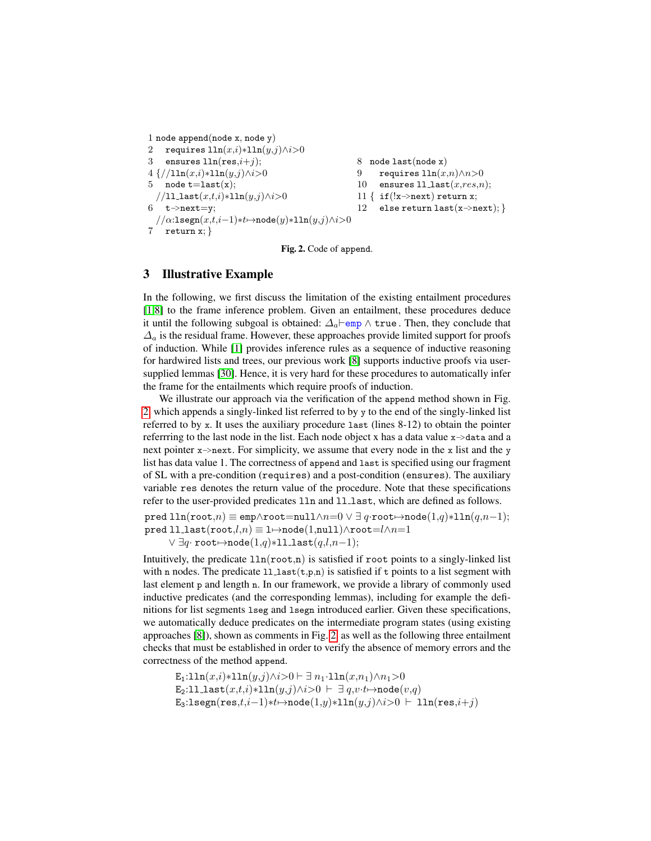```
1 node append(node x, node y)
2 requires \text{ln}(x,i)*\text{ln}(y,j) \wedge i>03 ensures \text{ln}(\text{res}, i+j);4 {//lln(x,i)∗lln(y,j)∧i>0
5 node t = last(x);
  //ll last(x,t,i)∗lln(y,j)∧i>0
6 t->next=y;
  // \alpha: \mathtt{lseqn}(x, t, i - 1) * t \mapsto \mathtt{node}(y) * \mathtt{lln}(y, j) \wedge i > 07 return x; }
                                                            8 node last(node x)
                                                            9 requires \ln(x,n) \wedge n > 010 ensures 11<sub>last</sub>(x, res, n);11 { if(!x \rightarrow next) return x;12 else return last(x \rightarrow next);
```
<span id="page-3-0"></span>Fig. 2. Code of append.

# 3 Illustrative Example

In the following, we first discuss the limitation of the existing entailment procedures [\[1,](#page-15-1)[8\]](#page-15-5) to the frame inference problem. Given an entailment, these procedures deduce it until the following subgoal is obtained:  $\Delta_a$  emp  $\wedge$  true. Then, they conclude that  $\Delta_a$  is the residual frame. However, these approaches provide limited support for proofs of induction. While [\[1\]](#page-15-1) provides inference rules as a sequence of inductive reasoning for hardwired lists and trees, our previous work [\[8\]](#page-15-5) supports inductive proofs via usersupplied lemmas [\[30\]](#page-16-11). Hence, it is very hard for these procedures to automatically infer the frame for the entailments which require proofs of induction.

We illustrate our approach via the verification of the append method shown in Fig. [2,](#page-3-0) which appends a singly-linked list referred to by y to the end of the singly-linked list referred to by x. It uses the auxiliary procedure last (lines 8-12) to obtain the pointer referrring to the last node in the list. Each node object x has a data value  $x \rightarrow$  data and a next pointer  $x \rightarrow$ next. For simplicity, we assume that every node in the x list and the y list has data value 1. The correctness of append and last is specified using our fragment of SL with a pre-condition (requires) and a post-condition (ensures). The auxiliary variable res denotes the return value of the procedure. Note that these specifications refer to the user-provided predicates 11n and 11<sub>-1ast</sub>, which are defined as follows.

pred lln(root,n)  $\equiv$  emp $\land$ root=null $\land$ n=0  $\lor$  ∃ q·root $\mapsto$ node $(1,q)*1$ ln $(q,n-1)$ ; pred ll\_last(root, $l,n$ )  $\equiv$  1 $\rightarrow$ node(1,null) $\land$ root= $l \land n=1$  $\lor \exists q$ · root $\mapsto \text{node}(1,q)*11 \text{.last}(q,l,n-1);$ 

Intuitively, the predicate  $\text{lin}(\text{root},n)$  is satisfied if root points to a singly-linked list with n nodes. The predicate  $11$  last $(t,p,n)$  is satisfied if t points to a list segment with last element p and length n. In our framework, we provide a library of commonly used inductive predicates (and the corresponding lemmas), including for example the definitions for list segments lseg and lsegn introduced earlier. Given these specifications, we automatically deduce predicates on the intermediate program states (using existing approaches [\[8\]](#page-15-5)), shown as comments in Fig. [2,](#page-3-0) as well as the following three entailment checks that must be established in order to verify the absence of memory errors and the correctness of the method append.

$$
\begin{array}{l} \texttt{E}_1{:}11n(x,i)*11n(y,j) \land i > 0 \vdash \exists n_1{\cdot}11n(x,n_1) \land n_1 > 0 \\ \texttt{E}_2{:}11{\cdot}1\mathtt{ast}(x,t,i)*11n(y,j) \land i > 0 \vdash \exists q,v{\cdot}t \mapsto \mathtt{node}(v,q) \\ \texttt{E}_3{:}1\mathtt{segn}(\mathtt{res},t,i-1)*t \mapsto \mathtt{node}(1,y)*11n(y,j) \land i > 0 \vdash 11n(\mathtt{res},i+j) \end{array}
$$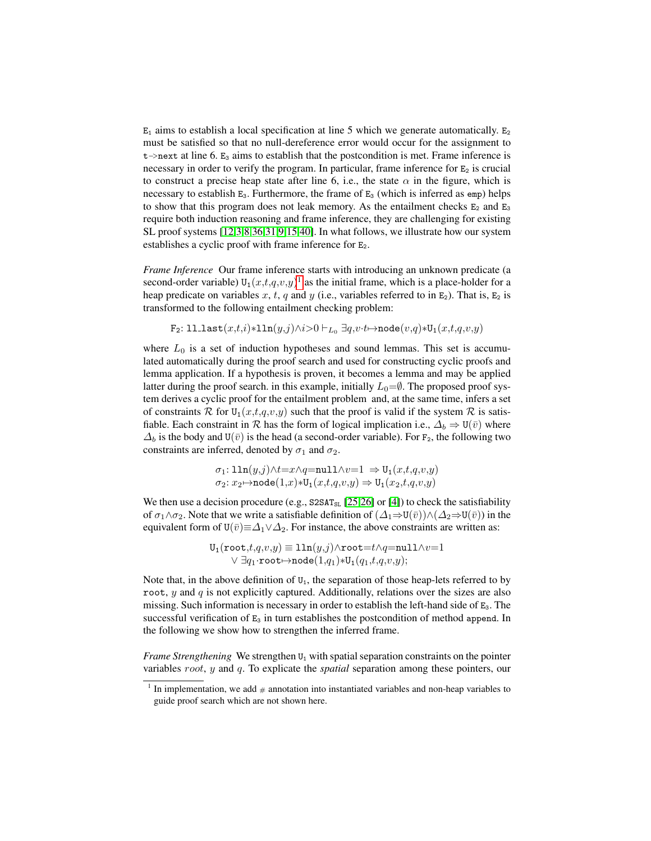$E_1$  aims to establish a local specification at line 5 which we generate automatically.  $E_2$ must be satisfied so that no null-dereference error would occur for the assignment to  $t$ ->next at line 6.  $E_3$  aims to establish that the postcondition is met. Frame inference is necessary in order to verify the program. In particular, frame inference for  $E_2$  is crucial to construct a precise heap state after line 6, i.e., the state  $\alpha$  in the figure, which is necessary to establish  $E_3$ . Furthermore, the frame of  $E_3$  (which is inferred as emp) helps to show that this program does not leak memory. As the entailment checks  $E_2$  and  $E_3$ require both induction reasoning and frame inference, they are challenging for existing SL proof systems [\[12](#page-15-9)[,3](#page-15-3)[,8,](#page-15-5)[36,](#page-16-1)[31,](#page-16-12)[9,](#page-15-11)[15,](#page-15-12)[40\]](#page-16-13). In what follows, we illustrate how our system establishes a cyclic proof with frame inference for  $E_2$ .

*Frame Inference* Our frame inference starts with introducing an unknown predicate (a second-order variable)  $U_1(x,t,q,v,y)^1$  $U_1(x,t,q,v,y)^1$  $U_1(x,t,q,v,y)^1$  as the initial frame, which is a place-holder for a heap predicate on variables x, t, q and y (i.e., variables referred to in  $E_2$ ). That is,  $E_2$  is transformed to the following entailment checking problem:

$$
\mathtt{F}_2\mathtt{:}\ 11\mathtt{.last}(x,t,i) \ast 11\mathtt{n}(y,j) \wedge i \text{>0} \vdash_{L_0} \exists q,v \cdot t \mapsto \mathtt{node}(v,q) \ast \mathtt{U}_1(x,t,q,v,y)
$$

where  $L_0$  is a set of induction hypotheses and sound lemmas. This set is accumulated automatically during the proof search and used for constructing cyclic proofs and lemma application. If a hypothesis is proven, it becomes a lemma and may be applied latter during the proof search. in this example, initially  $L_0=\emptyset$ . The proposed proof system derives a cyclic proof for the entailment problem and, at the same time, infers a set of constraints R for  $U_1(x,t,q,v,y)$  such that the proof is valid if the system R is satisfiable. Each constraint in R has the form of logical implication i.e.,  $\Delta_b \Rightarrow U(\bar{v})$  where  $\Delta_b$  is the body and U( $\bar{v}$ ) is the head (a second-order variable). For F<sub>2</sub>, the following two constraints are inferred, denoted by  $\sigma_1$  and  $\sigma_2$ .

$$
\begin{array}{l} \sigma_1\colon \text{lln}(y,j) \wedge t = x \wedge q = \text{null} \wedge v = 1 \ \Rightarrow \text{U}_1(x,t,q,v,y) \\ \sigma_2\colon x_2 \!\mapsto \!\text{node}(1,x) \! \ast \!\text{U}_1(x,t,q,v,y) \Rightarrow \text{U}_1(x_2,t,q,v,y) \end{array}
$$

We then use a decision procedure (e.g.,  $S2SAT_{SL}$  [\[25](#page-16-7)[,26\]](#page-16-9) or [\[4\]](#page-15-13)) to check the satisfiability of  $\sigma_1 \wedge \sigma_2$ . Note that we write a satisfiable definition of  $(\Delta_1 \Rightarrow U(\bar{v})) \wedge (\Delta_2 \Rightarrow U(\bar{v}))$  in the equivalent form of  $U(\bar{v}) \equiv \Delta_1 \vee \Delta_2$ . For instance, the above constraints are written as:

> $U_1(\texttt{root},t,q,v,y) \equiv \texttt{lln}(y,j) \wedge \texttt{root} = t \wedge q = \texttt{null} \wedge v = 1$  $\lor \exists q_1 \cdot \texttt{root} \mapsto \texttt{node}(1,q_1) * U_1(q_1,t,q,v,y);$

Note that, in the above definition of  $U_1$ , the separation of those heap-lets referred to by root,  $y$  and  $q$  is not explicitly captured. Additionally, relations over the sizes are also missing. Such information is necessary in order to establish the left-hand side of  $E_3$ . The successful verification of  $E_3$  in turn establishes the postcondition of method append. In the following we show how to strengthen the inferred frame.

*Frame Strengthening* We strengthen  $U_1$  with spatial separation constraints on the pointer variables root, y and q. To explicate the *spatial* separation among these pointers, our

<span id="page-4-0"></span><sup>&</sup>lt;sup>1</sup> In implementation, we add  $#$  annotation into instantiated variables and non-heap variables to guide proof search which are not shown here.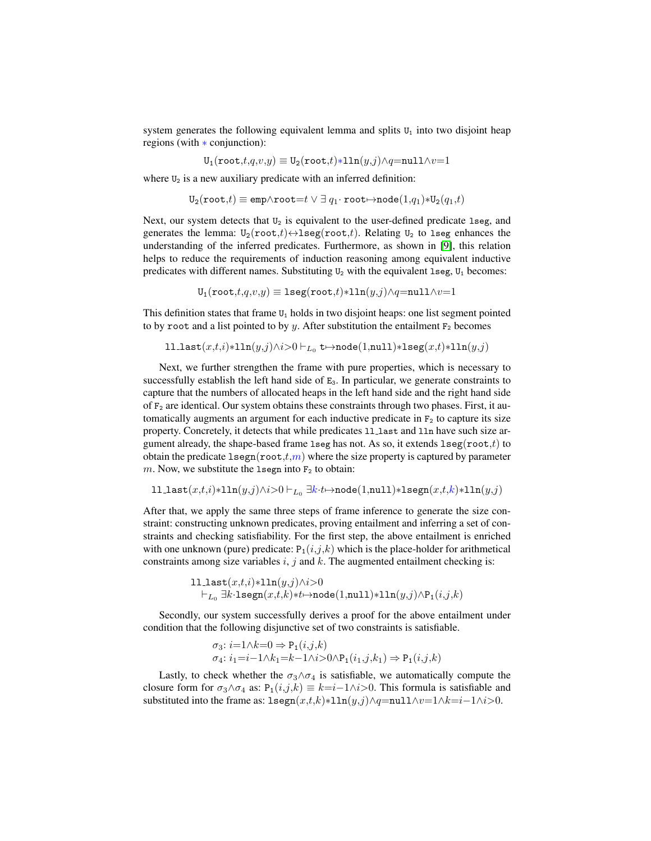system generates the following equivalent lemma and splits  $U_1$  into two disjoint heap regions (with ∗ conjunction):

 $U_1(\texttt{root},t,q,v,y) \equiv U_2(\texttt{root},t) * 1 \ln(y,j) \wedge q = \texttt{null} \wedge v = 1$ 

where  $U_2$  is a new auxiliary predicate with an inferred definition:

$$
\mathtt{U_{2}}(\mathtt{root,}t)\equiv \mathtt{emp}\wedge \mathtt{root}{=}t \vee \exists~q_1\cdotp \mathtt{root}{\mapsto} \mathtt{node}(1,q_1) {\ast} \mathtt{U_{2}}(q_1,t)
$$

Next, our system detects that  $U_2$  is equivalent to the user-defined predicate 1seg, and generates the lemma:  $U_2(root, t) \leftrightarrow \text{lseg(root}, t)$ . Relating  $U_2$  to 1seg enhances the understanding of the inferred predicates. Furthermore, as shown in [\[9\]](#page-15-11), this relation helps to reduce the requirements of induction reasoning among equivalent inductive predicates with different names. Substituting  $U_2$  with the equivalent 1seg,  $U_1$  becomes:

 $U_1(\texttt{root},t,q,v,y) \equiv \texttt{lseg}(\texttt{root},t) * \texttt{lln}(y,j) \land q = \texttt{null} \land v = 1$ 

This definition states that frame  $U_1$  holds in two disjoint heaps: one list segment pointed to by root and a list pointed to by y. After substitution the entailment  $F_2$  becomes

$$
\verb"lllast"(x,t,i)*lln(y,j) \wedge i>0 \vdash_{L_0} \verb"t{} \mapsto \verb"node"(1, \verb"null")*l\verb"seg"(x,t)*lln(y,j)
$$

Next, we further strengthen the frame with pure properties, which is necessary to successfully establish the left hand side of  $E_3$ . In particular, we generate constraints to capture that the numbers of allocated heaps in the left hand side and the right hand side of  $F_2$  are identical. Our system obtains these constraints through two phases. First, it automatically augments an argument for each inductive predicate in  $F<sub>2</sub>$  to capture its size property. Concretely, it detects that while predicates 11 last and 11n have such size argument already, the shape-based frame lseg has not. As so, it extends  $l \text{seg}(\text{root},t)$  to obtain the predicate  $l \text{segn}(\text{root},t,m)$  where the size property is captured by parameter m. Now, we substitute the 1segn into  $F_2$  to obtain:

```
ll last(x,t,i)*1\ln(y,j)∧i>0 \vdash_{L_0} \exists k\cdot t \mapsto \text{node}(1,\text{null})*1segn(x,t,k)*1\ln(y,j)
```
After that, we apply the same three steps of frame inference to generate the size constraint: constructing unknown predicates, proving entailment and inferring a set of constraints and checking satisfiability. For the first step, the above entailment is enriched with one unknown (pure) predicate:  $P_1(i,j,k)$  which is the place-holder for arithmetical constraints among size variables  $i, j$  and  $k$ . The augmented entailment checking is:

$$
\begin{aligned} & \texttt{ll\_last}(x,t,i) {\ast} \texttt{lln}(y,j) \land i{>} 0 \\ & \vdash_{L_0} \exists k{\cdot}\texttt{lsegn}(x,t,k) {\ast} t {\mapsto} \texttt{node}(1,\texttt{null}) {\ast} \texttt{lln}(y,j) \land \texttt{P}_1(i,j,k) \end{aligned}
$$

Secondly, our system successfully derives a proof for the above entailment under condition that the following disjunctive set of two constraints is satisfiable.

$$
\sigma_3: i=1 \land k=0 \Rightarrow \mathbf{P}_1(i,j,k)
$$
  

$$
\sigma_4: i_1=i-1 \land k_1=k-1 \land i>0 \land \mathbf{P}_1(i_1,j,k_1) \Rightarrow \mathbf{P}_1(i,j,k)
$$

Lastly, to check whether the  $\sigma_3 \wedge \sigma_4$  is satisfiable, we automatically compute the closure form for  $\sigma_3 \wedge \sigma_4$  as:  $P_1(i,j,k) \equiv k = i-1 \wedge i > 0$ . This formula is satisfiable and substituted into the frame as:  $\text{lsegn}(x,t,k)*1\text{ln}(y,j)\land q=\text{null}\land v=1\land k=i-1\land i>0$ .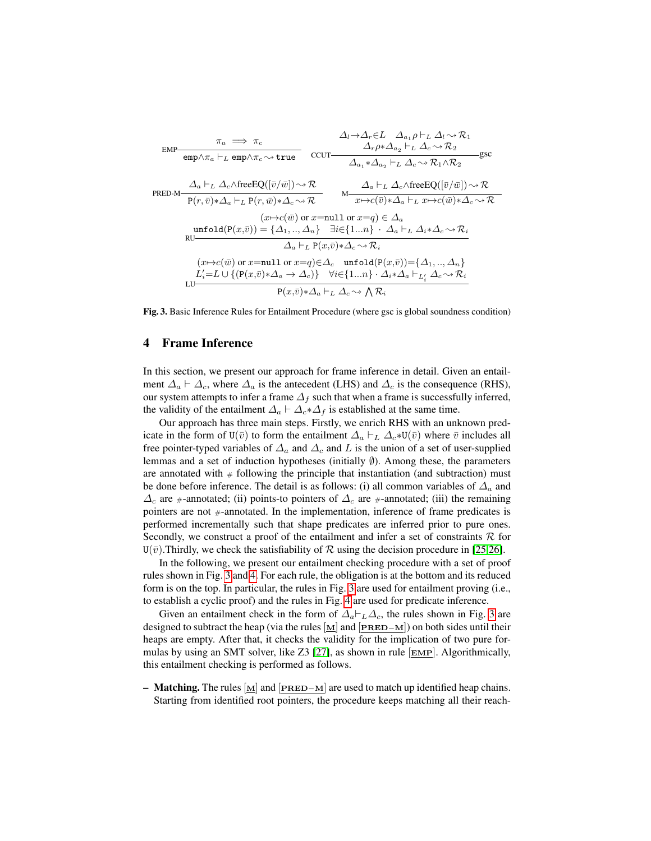

<span id="page-6-0"></span>Fig. 3. Basic Inference Rules for Entailment Procedure (where gsc is global soundness condition)

# <span id="page-6-1"></span>4 Frame Inference

In this section, we present our approach for frame inference in detail. Given an entailment  $\Delta_a \vdash \Delta_c$ , where  $\Delta_a$  is the antecedent (LHS) and  $\Delta_c$  is the consequence (RHS), our system attempts to infer a frame  $\Delta_f$  such that when a frame is successfully inferred, the validity of the entailment  $\Delta_a \vdash \Delta_c * \Delta_f$  is established at the same time.

Our approach has three main steps. Firstly, we enrich RHS with an unknown predicate in the form of U( $\bar{v}$ ) to form the entailment  $\Delta_a \vdash_L \Delta_c * U(\bar{v})$  where  $\bar{v}$  includes all free pointer-typed variables of  $\Delta_a$  and  $\Delta_c$  and L is the union of a set of user-supplied lemmas and a set of induction hypotheses (initially ∅). Among these, the parameters are annotated with  $#$  following the principle that instantiation (and subtraction) must be done before inference. The detail is as follows: (i) all common variables of  $\Delta_a$  and  $\Delta_c$  are #-annotated; (ii) points-to pointers of  $\Delta_c$  are #-annotated; (iii) the remaining pointers are not #-annotated. In the implementation, inference of frame predicates is performed incrementally such that shape predicates are inferred prior to pure ones. Secondly, we construct a proof of the entailment and infer a set of constraints  $\mathcal R$  for  $U(\bar{v})$ . Thirdly, we check the satisfiability of R using the decision procedure in [\[25](#page-16-7)[,26\]](#page-16-9).

In the following, we present our entailment checking procedure with a set of proof rules shown in Fig. [3](#page-6-0) and [4.](#page-7-0) For each rule, the obligation is at the bottom and its reduced form is on the top. In particular, the rules in Fig. [3](#page-6-0) are used for entailment proving (i.e., to establish a cyclic proof) and the rules in Fig. [4](#page-7-0) are used for predicate inference.

Given an entailment check in the form of  $\Delta_a \vdash_L \Delta_c$ , the rules shown in Fig. [3](#page-6-0) are designed to subtract the heap (via the rules [M] and [PRED−M]) on both sides until their heaps are empty. After that, it checks the validity for the implication of two pure formulas by using an SMT solver, like  $Z3$  [\[27\]](#page-16-14), as shown in rule  $\boxed{\text{EMP}}$ . Algorithmically, this entailment checking is performed as follows.

– Matching. The rules  $[M]$  and  $[PRED-M]$  are used to match up identified heap chains. Starting from identified root pointers, the procedure keeps matching all their reach-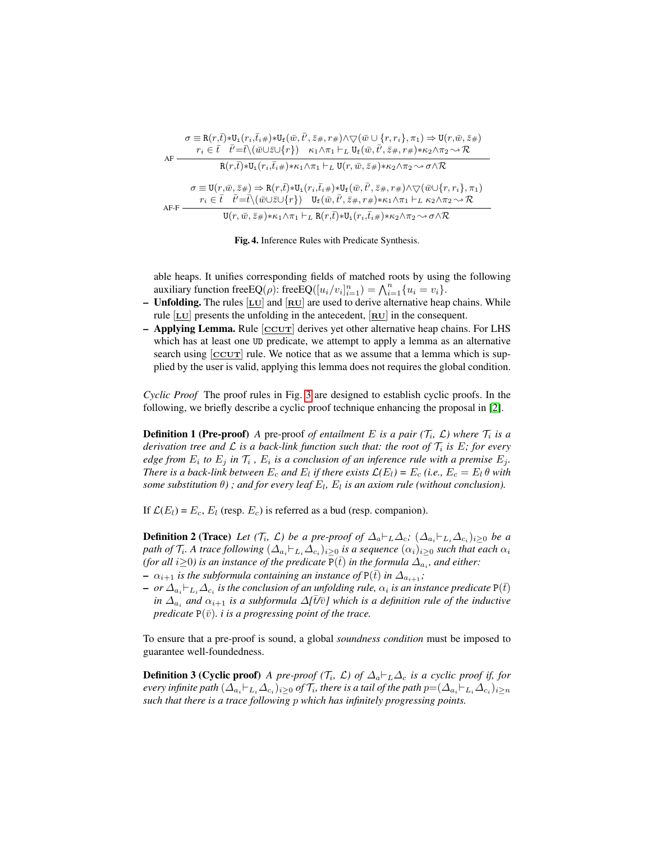| AF     | $\sigma \equiv \texttt{R}(r,\bar{t}) \ast \texttt{U}_\texttt{i}\big(r_i,\bar{t}_i \# \big) \ast \texttt{U}_\texttt{f}\big(\bar{w},\bar{t'},\bar{z} \#,r \# \big) \land \bigtriangledown \big(\bar{w} \cup \{r,r_i\},\pi_1 \big) \Rightarrow \texttt{U}(r,\bar{w},\bar{z} \# \big)$<br>$r_i \in \bar{t} \quad \bar{t}' = \bar{t} \setminus (\bar{w} \cup \bar{z} \cup \{r\}) \quad \kappa_1 \wedge \pi_1 \vdash_L U_f(\bar{w}, \bar{t}', \bar{z} \#, r \#) \ast \kappa_2 \wedge \pi_2 \leadsto \mathcal{R}$ |
|--------|------------------------------------------------------------------------------------------------------------------------------------------------------------------------------------------------------------------------------------------------------------------------------------------------------------------------------------------------------------------------------------------------------------------------------------------------------------------------------------------------------------|
|        | $R(r,\bar{t}) \ast U_i(r_i,\bar{t}_i \#) \ast \kappa_1 \wedge \pi_1 \vdash_L U(r,\bar{w},\bar{z} \#) \ast \kappa_2 \wedge \pi_2 \sim \sigma \wedge \mathcal{R}$                                                                                                                                                                                                                                                                                                                                            |
|        | $\sigma \equiv U(r,\bar{w},\bar{z}) \Rightarrow R(r,\bar{t}) * U_1(r_i,\bar{t}_i) * U_f(\bar{w},\bar{t}',\bar{z}^*,r)) \wedge \bigtriangledown(\bar{w} \cup \{r,r_i\},\pi_1)$<br>$r_i \in \bar{t} \quad \bar{t}' = \bar{t} \setminus (\bar{w} \cup \bar{z} \cup \{r\}) \quad \mathsf{U}_{\mathrm{f}}(\bar{w}, \bar{t}', \bar{z} \#, r \#) * \kappa_1 \wedge \pi_1 \vdash_L \kappa_2 \wedge \pi_2 \leadsto \mathcal{R}$                                                                                     |
| $AF-F$ | $U(r, \bar{w}, \bar{z}) \ast \kappa_1 \wedge \pi_1 \vdash_L R(r, \bar{t}) \ast U_i(r_i, \bar{t}_i \#) \ast \kappa_2 \wedge \pi_2 \sim \sigma \wedge \mathcal{R}$                                                                                                                                                                                                                                                                                                                                           |

<span id="page-7-0"></span>

able heaps. It unifies corresponding fields of matched roots by using the following auxiliary function free  $EQ(\rho)$ : free  $EQ([u_i/v_i]_{i=1}^n) = \bigwedge_{i=1}^n \{u_i = v_i\}.$ 

- Unfolding. The rules  $[\underline{LU}]$  and  $[\underline{RU}]$  are used to derive alternative heap chains. While rule  $[L_U]$  presents the unfolding in the antecedent,  $[R_U]$  in the consequent.
- $-$  Applying Lemma. Rule  $[CCUT]$  derives yet other alternative heap chains. For LHS which has at least one UD predicate, we attempt to apply a lemma as an alternative search using  $[CCUT]$  rule. We notice that as we assume that a lemma which is supplied by the user is valid, applying this lemma does not requires the global condition.

*Cyclic Proof* The proof rules in Fig. [3](#page-6-0) are designed to establish cyclic proofs. In the following, we briefly describe a cyclic proof technique enhancing the proposal in [\[2\]](#page-15-10).

**Definition 1 (Pre-proof)** A pre-proof *of entailment* E is a pair  $(\mathcal{T}_i, \mathcal{L})$  where  $\mathcal{T}_i$  is a derivation tree and  $\mathcal L$  is a back-link function such that: the root of  $\mathcal T_i$  is E; for every edge from  $E_i$  to  $E_j$  in  $\mathcal{T}_i$  ,  $E_i$  is a conclusion of an inference rule with a premise  $E_j$ . *There is a back-link between*  $E_c$  *and*  $E_l$  *if there exists*  $\mathcal{L}(E_l) = E_c$  *(i.e.,*  $E_c = E_l \theta$  *with*  $some$  substitution  $\theta$ ); and for every leaf  $E_l$ ,  $E_l$  is an axiom rule (without conclusion).

If  $\mathcal{L}(E_l) = E_c$ ,  $E_l$  (resp.  $E_c$ ) is referred as a bud (resp. companion).

**Definition 2 (Trace)** Let  $(T_i, \mathcal{L})$  be a pre-proof of  $\Delta_a \vdash_L \Delta_c$ ;  $(\Delta_{a_i} \vdash_{L_i} \Delta_{c_i})_{i \geq 0}$  be a path of  $\mathcal{T}_i$ . A trace following  $(\varDelta_{a_i} \vdash_{L_i} \varDelta_{c_i})_{i\geq 0}$  is a sequence  $(\alpha_i)_{i\geq 0}$  such that each  $\alpha_i$ *(for all i* $\geq$ 0) is an instance of the predicate  $\overline{P}(\overline{t})$  in the formula  $\overline{\Delta_{a_i}}$ , and either:

- $-\alpha_{i+1}$  *is the subformula containing an instance of*  $P(\bar{t})$  *in*  $\Delta_{a_{i+1}}$ ;
- $-$  *or*  $\Delta_{a_i} \vdash_{L_i} \Delta_{c_i}$  is the conclusion of an unfolding rule,  $\alpha_i$  is an instance predicate P(t) *in*  $\Delta_{a_i}$  and  $\alpha_{i+1}$  *is a subformula*  $\Delta[\bar{t}/\bar{v}]$  which is a definition rule of the inductive *predicate*  $P(\bar{v})$ *. i is a progressing point of the trace.*

To ensure that a pre-proof is sound, a global *soundness condition* must be imposed to guarantee well-foundedness.

**Definition 3 (Cyclic proof)** *A pre-proof (T<sub>i</sub>,*  $\mathcal{L}$ *) of*  $\Delta_a \vdash_L \Delta_c$  *is a cyclic proof if, for* every infinite path  $(\Delta_{a_i}\vdash_{L_i}\Delta_{c_i})_{i\geq 0}$  of  $\mathcal{T}_i$ , there is a tail of the path  $p{=}(\Delta_{a_i}\vdash_{L_i}\Delta_{c_i})_{i\geq n}$ *such that there is a trace following* p *which has infinitely progressing points.*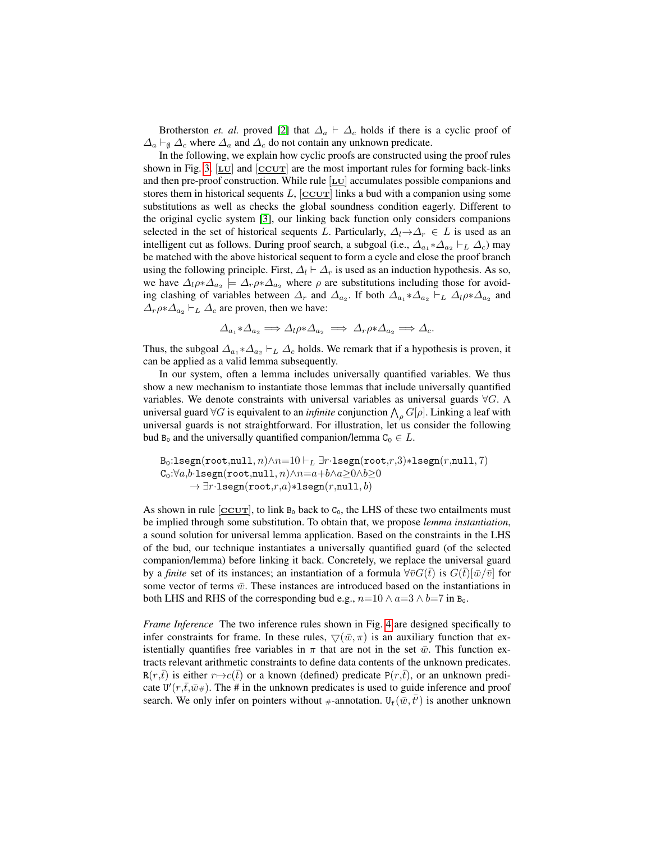Brotherston *et. al.* proved [\[2\]](#page-15-10) that  $\Delta_a \vdash \Delta_c$  holds if there is a cyclic proof of  $\Delta_a \vdash_{\emptyset} \Delta_c$  where  $\Delta_a$  and  $\Delta_c$  do not contain any unknown predicate.

In the following, we explain how cyclic proofs are constructed using the proof rules shown in Fig. [3.](#page-6-0)  $[\underline{LU}]$  and  $[\underline{CCUT}]$  are the most important rules for forming back-links and then pre-proof construction. While rule  $[\underline{\text{LU}}]$  accumulates possible companions and stores them in historical sequents  $L$ ,  $[CCUT]$  links a bud with a companion using some substitutions as well as checks the global soundness condition eagerly. Different to the original cyclic system [\[3\]](#page-15-3), our linking back function only considers companions selected in the set of historical sequents L. Particularly,  $\Delta_l \rightarrow \Delta_r \in L$  is used as an intelligent cut as follows. During proof search, a subgoal (i.e.,  $\Delta_{a_1} * \Delta_{a_2} \vdash_L \Delta_c$ ) may be matched with the above historical sequent to form a cycle and close the proof branch using the following principle. First,  $\Delta_l \vdash \Delta_r$  is used as an induction hypothesis. As so, we have  $\Delta_l \rho * \Delta_{a_2} \models \Delta_r \rho * \Delta_{a_2}$  where  $\rho$  are substitutions including those for avoiding clashing of variables between  $\Delta_r$  and  $\Delta_{a_2}$ . If both  $\Delta_{a_1} \ast \Delta_{a_2} \vdash_L \Delta_l \rho \ast \Delta_{a_2}$  and  $\Delta_r \rho * \Delta_{a_2} \vdash_L \Delta_c$  are proven, then we have:

$$
\Delta_{a_1} \ast \Delta_{a_2} \Longrightarrow \Delta_l \rho \ast \Delta_{a_2} \Longrightarrow \Delta_r \rho \ast \Delta_{a_2} \Longrightarrow \Delta_c.
$$

Thus, the subgoal  $\Delta_{a_1} * \Delta_{a_2} \vdash_L \Delta_c$  holds. We remark that if a hypothesis is proven, it can be applied as a valid lemma subsequently.

In our system, often a lemma includes universally quantified variables. We thus show a new mechanism to instantiate those lemmas that include universally quantified variables. We denote constraints with universal variables as universal guards  $\forall G$ . A universal guard ∀G is equivalent to an *infinite* conjunction  $\bigwedge_{\rho} G[\rho]$ . Linking a leaf with universal guards is not straightforward. For illustration, let us consider the following bud B<sub>0</sub> and the universally quantified companion/lemma  $C_0 \in L$ .

$$
\begin{array}{l} \texttt{B}_0:\texttt{lsegn}(\texttt{root},\texttt{null},n) \wedge n=10 \vdash_L \exists r\cdot \texttt{lsegn}(\texttt{root},r,3)*\texttt{lsegn}(r,\texttt{null},7) \\ \texttt{C}_0:\forall a,b\cdot \texttt{lsegn}(\texttt{root},\texttt{null},n) \wedge n=a+b \wedge a \geq 0 \wedge b \geq 0 \\ \to \exists r\cdot \texttt{lsegn}(\texttt{root},r,a)*\texttt{lsegn}(r,\texttt{null},b)\end{array}
$$

As shown in rule  $[CCUT]$ , to link  $B_0$  back to  $C_0$ , the LHS of these two entailments must be implied through some substitution. To obtain that, we propose *lemma instantiation*, a sound solution for universal lemma application. Based on the constraints in the LHS of the bud, our technique instantiates a universally quantified guard (of the selected companion/lemma) before linking it back. Concretely, we replace the universal guard by a *finite* set of its instances; an instantiation of a formula  $\forall \bar{v} G(\bar{t})$  is  $G(\bar{t})[\bar{w}/\bar{v}]$  for some vector of terms  $\bar{w}$ . These instances are introduced based on the instantiations in both LHS and RHS of the corresponding bud e.g.,  $n=10 \wedge a=3 \wedge b=7$  in B<sub>0</sub>.

*Frame Inference* The two inference rules shown in Fig. [4](#page-7-0) are designed specifically to infer constraints for frame. In these rules,  $\nabla(\bar{w}, \pi)$  is an auxiliary function that existentially quantifies free variables in  $\pi$  that are not in the set  $\bar{w}$ . This function extracts relevant arithmetic constraints to define data contents of the unknown predicates.  $R(r,t)$  is either  $r \mapsto c(t)$  or a known (defined) predicate P(r,t), or an unknown predicate  $U'(r,\bar{t},\bar{w}_*)$ . The # in the unknown predicates is used to guide inference and proof search. We only infer on pointers without #-annotation.  $U_f(\bar{w}, t')$  is another unknown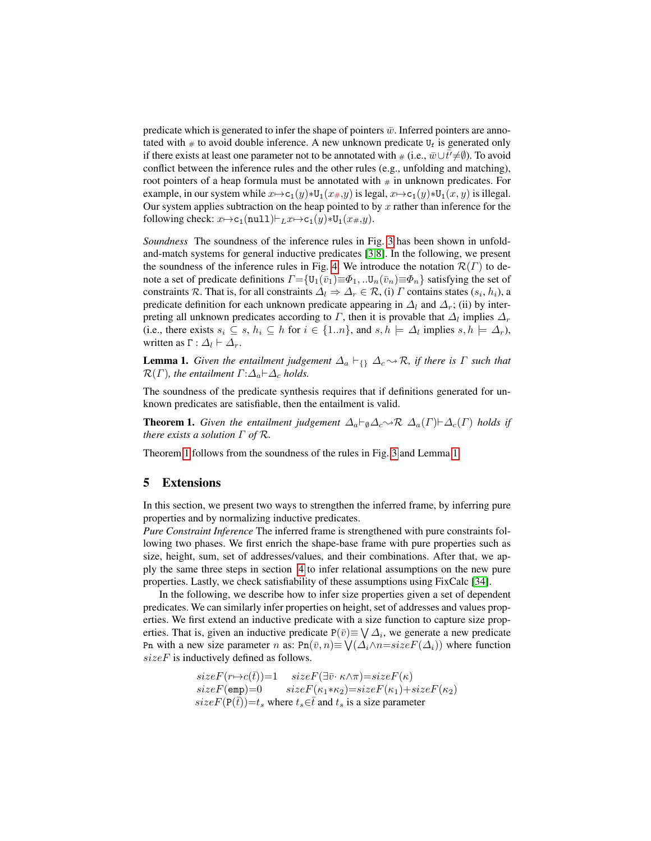predicate which is generated to infer the shape of pointers  $\bar{w}$ . Inferred pointers are annotated with  $\#$  to avoid double inference. A new unknown predicate  $U_f$  is generated only if there exists at least one parameter not to be annotated with  $\#$  (i.e.,  $\bar{w} \cup t^{\prime} \neq \emptyset$ ). To avoid conflict between the inference rules and the other rules (e.g., unfolding and matching), root pointers of a heap formula must be annotated with  $#$  in unknown predicates. For example, in our system while  $x \mapsto c_1(y)*U_1(x \# y)$  is legal,  $x \mapsto c_1(y)*U_1(x, y)$  is illegal. Our system applies subtraction on the heap pointed to by  $x$  rather than inference for the following check:  $x \mapsto c_1(\text{null}) \vdash_L x \mapsto c_1(y) * U_1(x \#, y)$ .

*Soundness* The soundness of the inference rules in Fig. [3](#page-6-0) has been shown in unfoldand-match systems for general inductive predicates [\[3](#page-15-3)[,8\]](#page-15-5). In the following, we present the soundness of the inference rules in Fig. [4.](#page-7-0) We introduce the notation  $\mathcal{R}(\Gamma)$  to denote a set of predicate definitions  $\Gamma = \{U_1(\bar{v}_1) \equiv \Phi_1, \ldots, U_n(\bar{v}_n) \equiv \Phi_n\}$  satisfying the set of constraints R. That is, for all constraints  $\Delta_l \Rightarrow \Delta_r \in \mathcal{R}$ , (i)  $\Gamma$  contains states  $(s_i, h_i)$ , a predicate definition for each unknown predicate appearing in  $\Delta_l$  and  $\Delta_r$ ; (ii) by interpreting all unknown predicates according to  $\varGamma$ , then it is provable that  $\varDelta_l$  implies  $\varDelta_r$ (i.e., there exists  $s_i \subseteq s$ ,  $h_i \subseteq h$  for  $i \in \{1..n\}$ , and  $s, h \models \Delta_l$  implies  $s, h \models \Delta_r$ ), written as  $\Gamma : \Delta_l \vdash \Delta_r$ .

<span id="page-9-1"></span>**Lemma 1.** *Given the entailment judgement*  $\Delta_a \vdash_f \Delta_c \rightarrow \mathcal{R}$ *, if there is*  $\Gamma$  *such that*  $\mathcal{R}(\Gamma)$ *, the entailment*  $\Gamma$ : $\Delta_a \vdash \Delta_c$  *holds.* 

The soundness of the predicate synthesis requires that if definitions generated for unknown predicates are satisfiable, then the entailment is valid.

<span id="page-9-0"></span>**Theorem 1.** *Given the entailment judgement*  $\Delta_a \vdash_{\emptyset} \Delta_c \rightarrow \mathcal{R}$   $\Delta_a(\Gamma) \vdash \Delta_c(\Gamma)$  *holds if there exists a solution* Γ *of* R*.*

Theorem [1](#page-9-0) follows from the soundness of the rules in Fig. [3](#page-6-0) and Lemma [1.](#page-9-1)

# 5 Extensions

In this section, we present two ways to strengthen the inferred frame, by inferring pure properties and by normalizing inductive predicates.

*Pure Constraint Inference* The inferred frame is strengthened with pure constraints following two phases. We first enrich the shape-base frame with pure properties such as size, height, sum, set of addresses/values, and their combinations. After that, we apply the same three steps in section [4](#page-6-1) to infer relational assumptions on the new pure properties. Lastly, we check satisfiability of these assumptions using FixCalc [\[34\]](#page-16-15).

In the following, we describe how to infer size properties given a set of dependent predicates. We can similarly infer properties on height, set of addresses and values properties. We first extend an inductive predicate with a size function to capture size properties. That is, given an inductive predicate  $P(\bar{v}) \equiv \bigvee \Delta_i$ , we generate a new predicate Pn with a new size parameter n as:  $\text{Pn}(\bar{v}, n) \equiv \bigvee (\Delta_i \wedge n = sizeF(\Delta_i))$  where function  $sizeF$  is inductively defined as follows.

> $sizeF(r \rightarrow c(\bar{t}))=1$   $sizeF(\exists \bar{v} \cdot \kappa \land \pi) = sizeF(\kappa)$  $sizeF(\text{emp})=0$   $sizeF(\kappa_1*\kappa_2)=sizeF(\kappa_1)+sizeF(\kappa_2)$  $sizeF(\mathbf{P}(\bar{t}))=t_s$  where  $t_s\in\bar{t}$  and  $t_s$  is a size parameter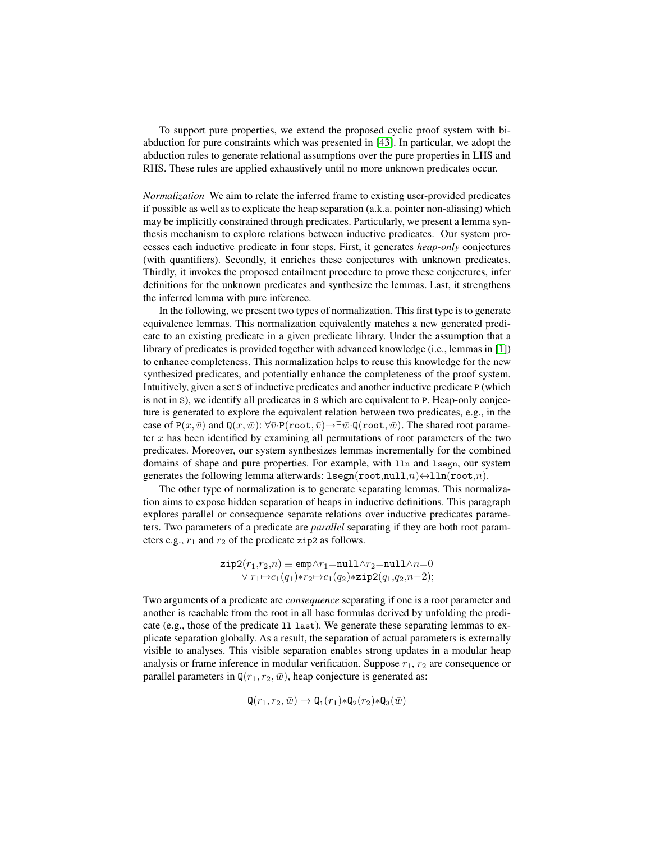To support pure properties, we extend the proposed cyclic proof system with biabduction for pure constraints which was presented in [\[43\]](#page-16-16). In particular, we adopt the abduction rules to generate relational assumptions over the pure properties in LHS and RHS. These rules are applied exhaustively until no more unknown predicates occur.

<span id="page-10-0"></span>*Normalization* We aim to relate the inferred frame to existing user-provided predicates if possible as well as to explicate the heap separation (a.k.a. pointer non-aliasing) which may be implicitly constrained through predicates. Particularly, we present a lemma synthesis mechanism to explore relations between inductive predicates. Our system processes each inductive predicate in four steps. First, it generates *heap-only* conjectures (with quantifiers). Secondly, it enriches these conjectures with unknown predicates. Thirdly, it invokes the proposed entailment procedure to prove these conjectures, infer definitions for the unknown predicates and synthesize the lemmas. Last, it strengthens the inferred lemma with pure inference.

In the following, we present two types of normalization. This first type is to generate equivalence lemmas. This normalization equivalently matches a new generated predicate to an existing predicate in a given predicate library. Under the assumption that a library of predicates is provided together with advanced knowledge (i.e., lemmas in [\[1\]](#page-15-1)) to enhance completeness. This normalization helps to reuse this knowledge for the new synthesized predicates, and potentially enhance the completeness of the proof system. Intuitively, given a set S of inductive predicates and another inductive predicate P (which is not in S), we identify all predicates in S which are equivalent to P. Heap-only conjecture is generated to explore the equivalent relation between two predicates, e.g., in the case of  $P(x, \bar{v})$  and  $Q(x, \bar{w})$ :  $\forall \bar{v} \cdot P(\text{root}, \bar{v}) \rightarrow \exists \bar{w} \cdot Q(\text{root}, \bar{w})$ . The shared root parameter  $x$  has been identified by examining all permutations of root parameters of the two predicates. Moreover, our system synthesizes lemmas incrementally for the combined domains of shape and pure properties. For example, with lln and lsegn, our system generates the following lemma afterwards:  $l \text{seg}(root, null, n) \leftrightarrow lln(root, n)$ .

The other type of normalization is to generate separating lemmas. This normalization aims to expose hidden separation of heaps in inductive definitions. This paragraph explores parallel or consequence separate relations over inductive predicates parameters. Two parameters of a predicate are *parallel* separating if they are both root parameters e.g.,  $r_1$  and  $r_2$  of the predicate zip2 as follows.

$$
\texttt{zip2}(r_1,r_2,n) \equiv \texttt{emp} \land r_1 = \texttt{null} \land r_2 = \texttt{null} \land n = 0 \\ \lor r_1 \mapsto c_1(q_1) * r_2 \mapsto c_1(q_2) * \texttt{zip2}(q_1,q_2,n-2);
$$

Two arguments of a predicate are *consequence* separating if one is a root parameter and another is reachable from the root in all base formulas derived by unfolding the predicate (e.g., those of the predicate 11\_1ast). We generate these separating lemmas to explicate separation globally. As a result, the separation of actual parameters is externally visible to analyses. This visible separation enables strong updates in a modular heap analysis or frame inference in modular verification. Suppose  $r_1$ ,  $r_2$  are consequence or parallel parameters in  $\mathbb{Q}(r_1, r_2, \bar{w})$ , heap conjecture is generated as:

$$
\mathbf{Q}(r_1,r_2,\bar{w}) \to \mathbf{Q}_1(r_1) \ast \mathbf{Q}_2(r_2) \ast \mathbf{Q}_3(\bar{w})
$$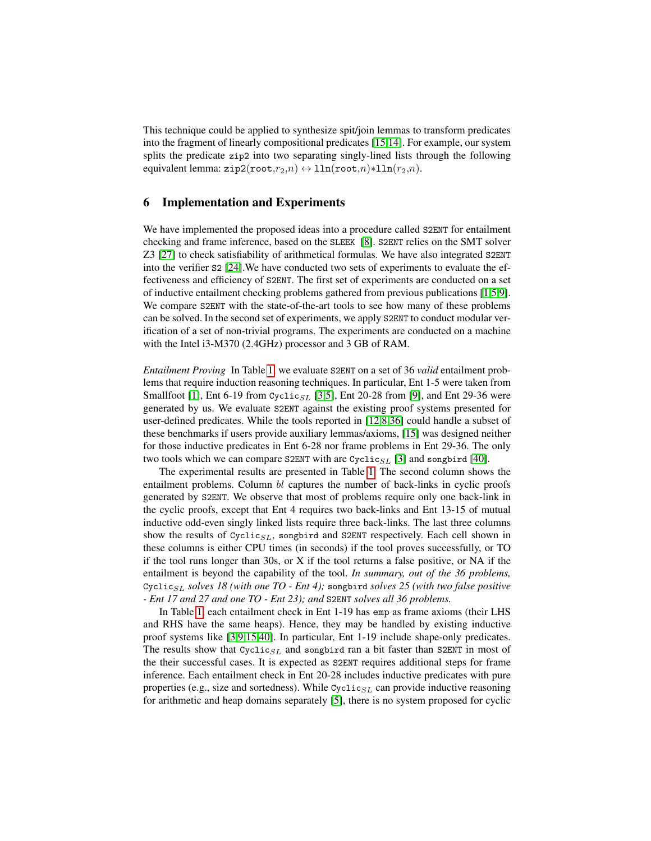This technique could be applied to synthesize spit/join lemmas to transform predicates into the fragment of linearly compositional predicates [\[15,](#page-15-12)[14\]](#page-15-14). For example, our system splits the predicate zip2 into two separating singly-lined lists through the following equivalent lemma: zip2(root, $r_2,n$ )  $\leftrightarrow$  lln(root,n)\*lln( $r_2,n$ ).

# 6 Implementation and Experiments

We have implemented the proposed ideas into a procedure called S2ENT for entailment checking and frame inference, based on the SLEEK [\[8\]](#page-15-5). S2ENT relies on the SMT solver Z3 [\[27\]](#page-16-14) to check satisfiability of arithmetical formulas. We have also integrated S2ENT into the verifier S2 [\[24\]](#page-16-4).We have conducted two sets of experiments to evaluate the effectiveness and efficiency of S2ENT. The first set of experiments are conducted on a set of inductive entailment checking problems gathered from previous publications [\[1](#page-15-1)[,5](#page-15-15)[,9\]](#page-15-11). We compare S2ENT with the state-of-the-art tools to see how many of these problems can be solved. In the second set of experiments, we apply S2ENT to conduct modular verification of a set of non-trivial programs. The experiments are conducted on a machine with the Intel i3-M370 (2.4GHz) processor and 3 GB of RAM.

*Entailment Proving* In Table [1,](#page-12-0) we evaluate S2ENT on a set of 36 *valid* entailment problems that require induction reasoning techniques. In particular, Ent 1-5 were taken from Smallfoot [\[1\]](#page-15-1), Ent 6-19 from Cyclic<sub>SL</sub> [\[3](#page-15-3)[,5\]](#page-15-15), Ent 20-28 from [\[9\]](#page-15-11), and Ent 29-36 were generated by us. We evaluate S2ENT against the existing proof systems presented for user-defined predicates. While the tools reported in [\[12](#page-15-9)[,8,](#page-15-5)[36\]](#page-16-1) could handle a subset of these benchmarks if users provide auxiliary lemmas/axioms, [\[15\]](#page-15-12) was designed neither for those inductive predicates in Ent 6-28 nor frame problems in Ent 29-36. The only two tools which we can compare S2ENT with are Cyclic<sub>SL</sub> [\[3\]](#page-15-3) and songbird [\[40\]](#page-16-13).

The experimental results are presented in Table [1.](#page-12-0) The second column shows the entailment problems. Column bl captures the number of back-links in cyclic proofs generated by S2ENT. We observe that most of problems require only one back-link in the cyclic proofs, except that Ent 4 requires two back-links and Ent 13-15 of mutual inductive odd-even singly linked lists require three back-links. The last three columns show the results of  $Cyclic_{SL}$ , songbird and S2ENT respectively. Each cell shown in these columns is either CPU times (in seconds) if the tool proves successfully, or TO if the tool runs longer than 30s, or X if the tool returns a false positive, or NA if the entailment is beyond the capability of the tool. *In summary, out of the 36 problems,* Cyclic<sub>SL</sub> solves 18 (with one TO - Ent 4); songbird solves 25 (with two false positive *- Ent 17 and 27 and one TO - Ent 23); and* S2ENT *solves all 36 problems.*

In Table [1,](#page-12-0) each entailment check in Ent 1-19 has emp as frame axioms (their LHS and RHS have the same heaps). Hence, they may be handled by existing inductive proof systems like [\[3](#page-15-3)[,9](#page-15-11)[,15](#page-15-12)[,40\]](#page-16-13). In particular, Ent 1-19 include shape-only predicates. The results show that  $Cyclic_{SL}$  and songbird ran a bit faster than S2ENT in most of the their successful cases. It is expected as S2ENT requires additional steps for frame inference. Each entailment check in Ent 20-28 includes inductive predicates with pure properties (e.g., size and sortedness). While  $\text{Cyclic}_{SL}$  can provide inductive reasoning for arithmetic and heap domains separately [\[5\]](#page-15-15), there is no system proposed for cyclic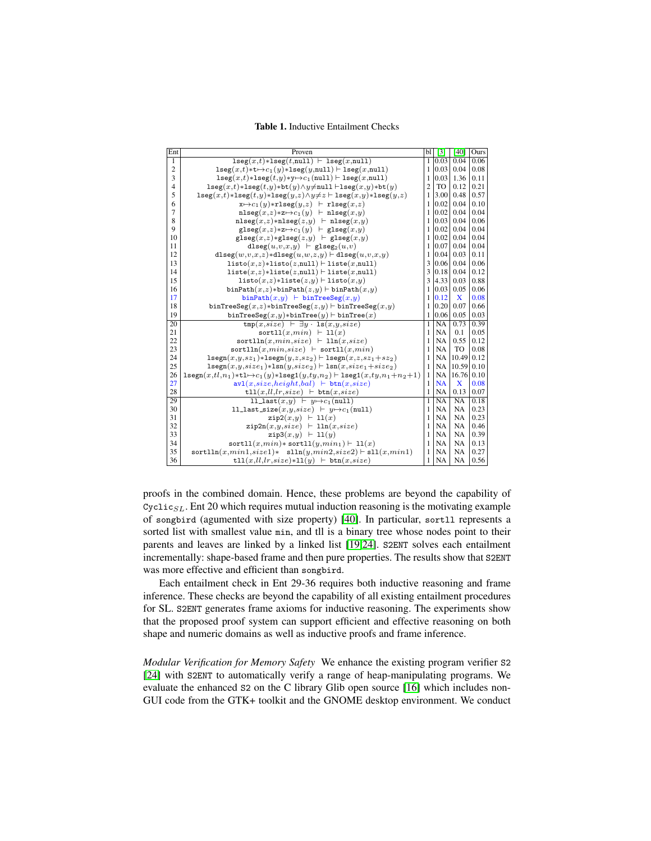<span id="page-12-0"></span>Table 1. Inductive Entailment Checks

| Ent             | Proven                                                                                                                         | bl             | $\lceil 3 \rceil$ | [40]      | Ours |
|-----------------|--------------------------------------------------------------------------------------------------------------------------------|----------------|-------------------|-----------|------|
| $\overline{1}$  | $lseg(x,t) * lseg(t, null)$ $\vdash$ $lseg(x, null)$                                                                           |                | 1 0.03            | 0.04      | 0.06 |
| $\overline{c}$  | $\texttt{lseg}(x,t) * t \mapsto c_1(y) * \texttt{lseg}(y, \texttt{null}) \vdash \texttt{lseg}(x, \texttt{null})$               | 1              | 0.03              | 0.04      | 0.08 |
| 3               | $\texttt{lseg}(x,t) * \texttt{lseg}(t,y) * y \mapsto c_1(\texttt{null}) \vdash \texttt{lseg}(x,\texttt{null})$                 | 1              | 0.03              | 1.36      | 0.11 |
| $\overline{4}$  | $lseg(x,t)*lseg(t,y)*bt(y) \land y \neq null \vdash lseg(x,y)*bt(y)$                                                           | $\overline{c}$ | <b>TO</b>         | 0.12      | 0.21 |
| 5               | $\texttt{lseg}(x,t) * \texttt{lseg}(t,y) * \texttt{lseg}(y,z) \land y \neq z \vdash \texttt{lseg}(x,y) * \texttt{lseg}(y,z)$   | 1              | 3.00              | 0.48      | 0.57 |
| 6               | $x \mapsto c_1(y) * r \text{lseg}(y,z)$ + $r \text{lseg}(x,z)$                                                                 | 1              | 0.02              | 0.04      | 0.10 |
| 7               | $nlseg(x,z)*z \mapsto c_1(y)$ $\vdash nlseg(x,y)$                                                                              | 1              | 0.02              | 0.04      | 0.04 |
| 8               | $nlseg(x,z)*nlseg(z,y)$ $\vdash$ $nlseg(x,y)$                                                                                  | 1              | 0.03              | 0.04      | 0.06 |
| 9               | $\texttt{glseg}(x,z) \ast \texttt{z} \mapsto c_1(y)$ $\vdash$ glseg $(x,y)$                                                    | 1              | 0.02              | 0.04      | 0.04 |
| 10              | $\texttt{glseg}(x,z)\ast\texttt{glseg}(z,y)$ $\vdash$ glseg $(x,y)$                                                            | 1              | 0.02              | 0.04      | 0.04 |
| 11              | dlseg $(u, v, x, y)$ $\vdash$ glseg <sub>2</sub> $(u, v)$                                                                      | 1              | 0.07              | 0.04      | 0.04 |
| 12              | dlseg $(w, v, x, z)$ *dlseg $(u, w, z, y)$ $\vdash$ dlseg $(u, v, x, y)$                                                       | 1              | 0.04              | 0.03      | 0.11 |
| 13              | $listo(x,z)*listo(z, null) \vdash liste(x, null)$                                                                              | 3              | 0.06              | 0.04      | 0.06 |
| 14              | liste $(x,z)$ *liste $(z, \text{null})$ $\vdash$ liste $(x, \text{null})$                                                      | 3              | 0.18              | 0.04      | 0.12 |
| 15              | listo $(x,z)$ *liste $(z,y)$ + listo $(x,y)$                                                                                   | 3              | 4.33              | 0.03      | 0.88 |
| 16              | binPath $(x,z)$ *binPath $(z,y)$ $\vdash$ binPath $(x,y)$                                                                      | 1              | 0.03              | 0.05      | 0.06 |
| 17              | $binPath(x,y)$ $\vdash$ $binTreeSeq(x,y)$                                                                                      | 1              | 0.12              | X         | 0.08 |
| 18              | $binTreeSeq(x, z) * binTreeSeq(z, y) \vdash binTreeSeq(x, y)$                                                                  | 1              | 0.20              | 0.07      | 0.66 |
| 19              | $binTreeSeq(x,y) * binTree(y) \vdash binTree(x)$                                                                               | 1              | 0.06              | 0.05      | 0.03 |
| $\overline{20}$ | $\text{tmp}(x, size) \vdash \exists y \cdot \text{ls}(x, y, size)$                                                             | 1              | NA                | 0.73      | 0.39 |
| 21              | sortl $l(x,min)$ + $l(l(x))$                                                                                                   | 1              | <b>NA</b>         | 0.1       | 0.05 |
| 22              | $\text{sortlin}(x, min, size) \vdash \text{lin}(x, size)$                                                                      | 1              | <b>NA</b>         | 0.55      | 0.12 |
| 23              | $\text{sortlln}(x, min, size)$ $\vdash$ $\text{sortll}(x, min)$                                                                | 1              | <b>NA</b>         | TO        | 0.08 |
| 24              | $\texttt{lsegn}(x,y,sz_1) * \texttt{lsegn}(y,z,sz_2) \vdash \texttt{lsegn}(x,z,sz_1 + sz_2)$                                   | 1              | <b>NA</b>         | 10.49     | 0.12 |
| 25              | $lseqn(x, y, size_1) * lsn(y, size_2) \vdash lsn(x, size_1 + size_2)$                                                          | 1              | <b>NA</b>         | 10.59     | 0.10 |
| 26              | $\texttt{lsegn}(x,tl,n_1)\cdot\texttt{tl}\rightarrow c_1(y)\cdot\texttt{lseg1}(y,ty,n_2)\vdash \texttt{lseg1}(x,ty,n_1+n_2+1)$ | -1             | <b>NA</b>         | 16.76     | 0.10 |
| 27              | $\texttt{avl}(x, \text{size}, \text{height}, \text{bal}) \ \vdash \texttt{btn}(x, \text{size})$                                | 1              | <b>NA</b>         | X         | 0.08 |
| 28              | $t11(x, ll, lr, size)$ + $btn(x, size)$                                                                                        | 1              | <b>NA</b>         | 0.13      | 0.07 |
| 29              | 11_last $(x,y)$ $\vdash y \mapsto c_1$ (null)                                                                                  | 1              | NA                | NA        | 0.18 |
| 30              | 11_last_size(x,y,size) $\vdash y \mapsto c_1(\text{null})$                                                                     | 1              | <b>NA</b>         | NA        | 0.23 |
| 31              | $\text{zip2}(x,y) \vdash \text{ll}(x)$                                                                                         | 1              | <b>NA</b>         | <b>NA</b> | 0.23 |
| 32              | $\text{zip2n}(x, y, size) \vdash \text{1ln}(x, size)$                                                                          | 1              | <b>NA</b>         | <b>NA</b> | 0.46 |
| 33              | $\text{zip3}(x,y)$ $\vdash$ 11(y)                                                                                              | 1              | <b>NA</b>         | <b>NA</b> | 0.39 |
| 34              | sortl $l(x,min)$ * sortl $l(y,min_1)$ $\vdash$ 11(x)                                                                           | 1              | <b>NA</b>         | <b>NA</b> | 0.13 |
| 35              | $sortlln(x, min1, size1)*$ $slln(y, min2, size2) \vdash sl1(x, min1)$                                                          | 1              | NA                | <b>NA</b> | 0.27 |
| 36              | $t11(x,ll,lr,size) *11(y)$ + $btn(x,size)$                                                                                     | 1              | <b>NA</b>         | NA        | 0.56 |

proofs in the combined domain. Hence, these problems are beyond the capability of  $Cyclic_{SL}$ . Ent 20 which requires mutual induction reasoning is the motivating example of songbird (agumented with size property) [\[40\]](#page-16-13). In particular, sortll represents a sorted list with smallest value min, and tll is a binary tree whose nodes point to their parents and leaves are linked by a linked list [\[19](#page-15-4)[,24\]](#page-16-4). S2ENT solves each entailment incrementally: shape-based frame and then pure properties. The results show that S2ENT was more effective and efficient than songbird.

Each entailment check in Ent 29-36 requires both inductive reasoning and frame inference. These checks are beyond the capability of all existing entailment procedures for SL. S2ENT generates frame axioms for inductive reasoning. The experiments show that the proposed proof system can support efficient and effective reasoning on both shape and numeric domains as well as inductive proofs and frame inference.

*Modular Verification for Memory Safety* We enhance the existing program verifier S2 [\[24\]](#page-16-4) with S2ENT to automatically verify a range of heap-manipulating programs. We evaluate the enhanced S2 on the C library Glib open source [\[16\]](#page-15-16) which includes non-GUI code from the GTK+ toolkit and the GNOME desktop environment. We conduct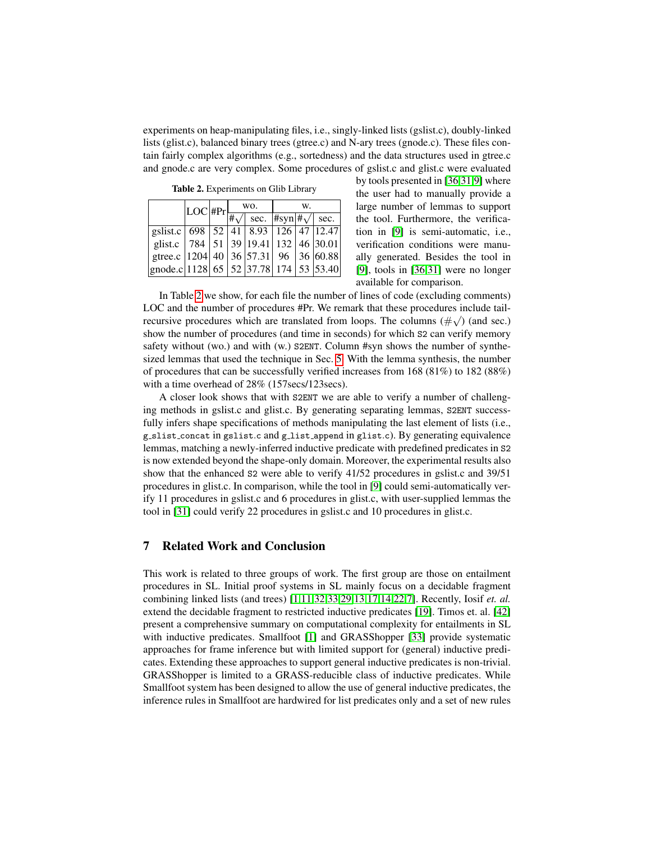experiments on heap-manipulating files, i.e., singly-linked lists (gslist.c), doubly-linked lists (glist.c), balanced binary trees (gtree.c) and N-ary trees (gnode.c). These files contain fairly complex algorithms (e.g., sortedness) and the data structures used in gtree.c and gnode.c are very complex. Some procedures of gslist.c and glist.c were evaluated

<span id="page-13-0"></span>Table 2. Experiments on Glib Library

|                                                    | $ LOC $ #Pr $ $ . | WO. |                                                                           | W. |  |  |
|----------------------------------------------------|-------------------|-----|---------------------------------------------------------------------------|----|--|--|
|                                                    |                   |     | $\# \sqrt{\phantom{a}}$ sec. $\# \text{syn}   \# \sqrt{\phantom{a}}$ sec. |    |  |  |
| gslist.c   698   52   41   8.93   126   47   12.47 |                   |     |                                                                           |    |  |  |
| glist.c   784   51   39   19.41   132   46   30.01 |                   |     |                                                                           |    |  |  |
| gtree.c   1204   40   36   57.31   96   36   60.88 |                   |     |                                                                           |    |  |  |
| gnode.c  1128   65   52   37.78   174   53   53.40 |                   |     |                                                                           |    |  |  |

by tools presented in [\[36,](#page-16-1)[31,](#page-16-12)[9\]](#page-15-11) where the user had to manually provide a large number of lemmas to support the tool. Furthermore, the verification in [\[9\]](#page-15-11) is semi-automatic, i.e., verification conditions were manually generated. Besides the tool in [\[9\]](#page-15-11), tools in [\[36,](#page-16-1)[31\]](#page-16-12) were no longer available for comparison.

In Table [2](#page-13-0) we show, for each file the number of lines of code (excluding comments) LOC and the number of procedures  $#Pr$ . We remark that these procedures include tailrecursive procedures which are translated from loops. The columns  $(\# \sqrt)$  (and sec.) show the number of procedures (and time in seconds) for which S2 can verify memory safety without (wo.) and with (w.) S2ENT. Column #syn shows the number of synthesized lemmas that used the technique in Sec. [5.](#page-10-0) With the lemma synthesis, the number of procedures that can be successfully verified increases from 168 (81%) to 182 (88%) with a time overhead of 28% (157secs/123secs).

A closer look shows that with S2ENT we are able to verify a number of challenging methods in gslist.c and glist.c. By generating separating lemmas, S2ENT successfully infers shape specifications of methods manipulating the last element of lists (i.e., g slist concat in gslist.c and g list append in glist.c). By generating equivalence lemmas, matching a newly-inferred inductive predicate with predefined predicates in S2 is now extended beyond the shape-only domain. Moreover, the experimental results also show that the enhanced S2 were able to verify 41/52 procedures in gslist.c and 39/51 procedures in glist.c. In comparison, while the tool in [\[9\]](#page-15-11) could semi-automatically verify 11 procedures in gslist.c and 6 procedures in glist.c, with user-supplied lemmas the tool in [\[31\]](#page-16-12) could verify 22 procedures in gslist.c and 10 procedures in glist.c.

## 7 Related Work and Conclusion

This work is related to three groups of work. The first group are those on entailment procedures in SL. Initial proof systems in SL mainly focus on a decidable fragment combining linked lists (and trees) [\[1,](#page-15-1)[11,](#page-15-17)[32,](#page-16-17)[33,](#page-16-2)[29,](#page-16-3)[13,](#page-15-7)[17](#page-15-18)[,14](#page-15-14)[,22](#page-16-18)[,7\]](#page-15-19). Recently, Iosif *et. al.* extend the decidable fragment to restricted inductive predicates [\[19\]](#page-15-4). Timos et. al. [\[42\]](#page-16-19) present a comprehensive summary on computational complexity for entailments in SL with inductive predicates. Smallfoot [\[1\]](#page-15-1) and GRASShopper [\[33\]](#page-16-2) provide systematic approaches for frame inference but with limited support for (general) inductive predicates. Extending these approaches to support general inductive predicates is non-trivial. GRASShopper is limited to a GRASS-reducible class of inductive predicates. While Smallfoot system has been designed to allow the use of general inductive predicates, the inference rules in Smallfoot are hardwired for list predicates only and a set of new rules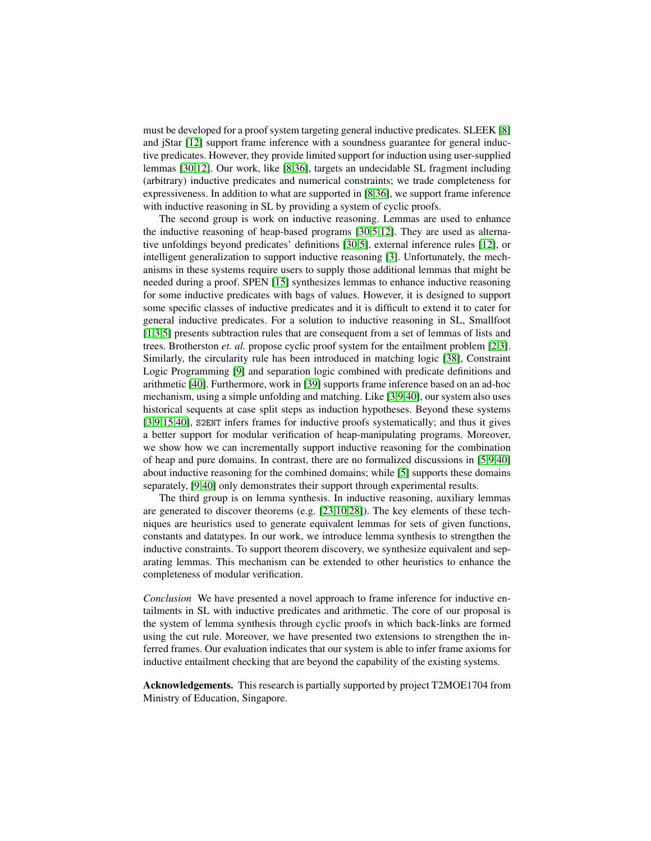must be developed for a proof system targeting general inductive predicates. SLEEK [\[8\]](#page-15-5) and jStar [\[12\]](#page-15-9) support frame inference with a soundness guarantee for general inductive predicates. However, they provide limited support for induction using user-supplied lemmas [\[30,](#page-16-11)[12\]](#page-15-9). Our work, like [\[8](#page-15-5)[,36\]](#page-16-1), targets an undecidable SL fragment including (arbitrary) inductive predicates and numerical constraints; we trade completeness for expressiveness. In addition to what are supported in [\[8](#page-15-5)[,36\]](#page-16-1), we support frame inference with inductive reasoning in SL by providing a system of cyclic proofs.

The second group is work on inductive reasoning. Lemmas are used to enhance the inductive reasoning of heap-based programs [\[30,](#page-16-11)[5,](#page-15-15)[12\]](#page-15-9). They are used as alternative unfoldings beyond predicates' definitions [\[30](#page-16-11)[,5\]](#page-15-15), external inference rules [\[12\]](#page-15-9), or intelligent generalization to support inductive reasoning [\[3\]](#page-15-3). Unfortunately, the mechanisms in these systems require users to supply those additional lemmas that might be needed during a proof. SPEN [\[15\]](#page-15-12) synthesizes lemmas to enhance inductive reasoning for some inductive predicates with bags of values. However, it is designed to support some specific classes of inductive predicates and it is difficult to extend it to cater for general inductive predicates. For a solution to inductive reasoning in SL, Smallfoot [\[1,](#page-15-1)[3,](#page-15-3)[5\]](#page-15-15) presents subtraction rules that are consequent from a set of lemmas of lists and trees. Brotherston *et. al.* propose cyclic proof system for the entailment problem [\[2](#page-15-10)[,3\]](#page-15-3). Similarly, the circularity rule has been introduced in matching logic [\[38\]](#page-16-20), Constraint Logic Programming [\[9\]](#page-15-11) and separation logic combined with predicate definitions and arithmetic [\[40\]](#page-16-13). Furthermore, work in [\[39\]](#page-16-6) supports frame inference based on an ad-hoc mechanism, using a simple unfolding and matching. Like [\[3](#page-15-3)[,9](#page-15-11)[,40\]](#page-16-13), our system also uses historical sequents at case split steps as induction hypotheses. Beyond these systems [\[3,](#page-15-3)[9,](#page-15-11)[15](#page-15-12)[,40\]](#page-16-13), S2ENT infers frames for inductive proofs systematically; and thus it gives a better support for modular verification of heap-manipulating programs. Moreover, we show how we can incrementally support inductive reasoning for the combination of heap and pure domains. In contrast, there are no formalized discussions in [\[5](#page-15-15)[,9](#page-15-11)[,40\]](#page-16-13) about inductive reasoning for the combined domains; while [\[5\]](#page-15-15) supports these domains separately, [\[9](#page-15-11)[,40\]](#page-16-13) only demonstrates their support through experimental results.

The third group is on lemma synthesis. In inductive reasoning, auxiliary lemmas are generated to discover theorems (e.g. [\[23,](#page-16-21)[10,](#page-15-20)[28\]](#page-16-22)). The key elements of these techniques are heuristics used to generate equivalent lemmas for sets of given functions, constants and datatypes. In our work, we introduce lemma synthesis to strengthen the inductive constraints. To support theorem discovery, we synthesize equivalent and separating lemmas. This mechanism can be extended to other heuristics to enhance the completeness of modular verification.

*Conclusion* We have presented a novel approach to frame inference for inductive entailments in SL with inductive predicates and arithmetic. The core of our proposal is the system of lemma synthesis through cyclic proofs in which back-links are formed using the cut rule. Moreover, we have presented two extensions to strengthen the inferred frames. Our evaluation indicates that our system is able to infer frame axioms for inductive entailment checking that are beyond the capability of the existing systems.

Acknowledgements. This research is partially supported by project T2MOE1704 from Ministry of Education, Singapore.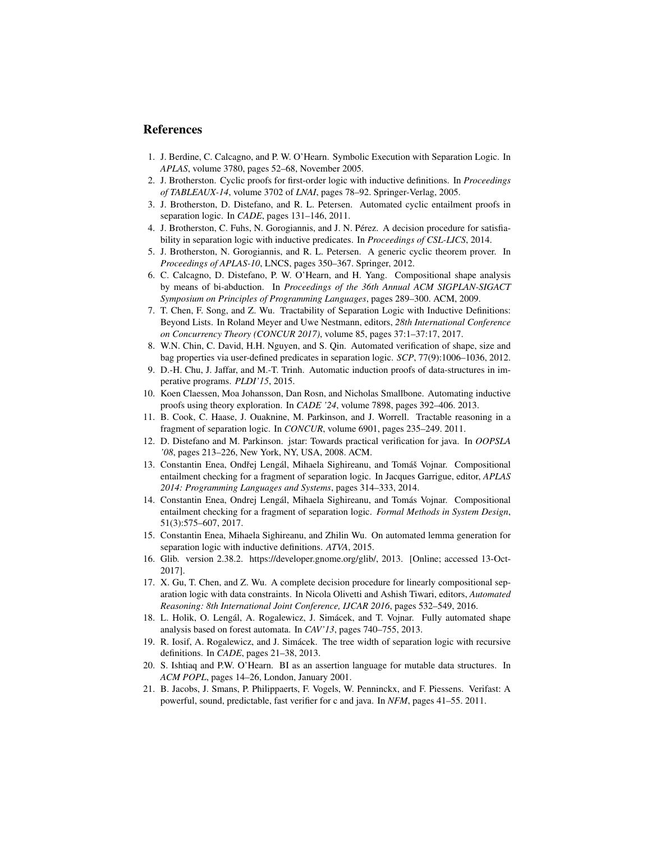#### References

- <span id="page-15-1"></span>1. J. Berdine, C. Calcagno, and P. W. O'Hearn. Symbolic Execution with Separation Logic. In *APLAS*, volume 3780, pages 52–68, November 2005.
- <span id="page-15-10"></span>2. J. Brotherston. Cyclic proofs for first-order logic with inductive definitions. In *Proceedings of TABLEAUX-14*, volume 3702 of *LNAI*, pages 78–92. Springer-Verlag, 2005.
- <span id="page-15-3"></span>3. J. Brotherston, D. Distefano, and R. L. Petersen. Automated cyclic entailment proofs in separation logic. In *CADE*, pages 131–146, 2011.
- <span id="page-15-13"></span>4. J. Brotherston, C. Fuhs, N. Gorogiannis, and J. N. Pérez. A decision procedure for satisfiability in separation logic with inductive predicates. In *Proceedings of CSL-LICS*, 2014.
- <span id="page-15-15"></span>5. J. Brotherston, N. Gorogiannis, and R. L. Petersen. A generic cyclic theorem prover. In *Proceedings of APLAS-10*, LNCS, pages 350–367. Springer, 2012.
- <span id="page-15-2"></span>6. C. Calcagno, D. Distefano, P. W. O'Hearn, and H. Yang. Compositional shape analysis by means of bi-abduction. In *Proceedings of the 36th Annual ACM SIGPLAN-SIGACT Symposium on Principles of Programming Languages*, pages 289–300. ACM, 2009.
- <span id="page-15-19"></span>7. T. Chen, F. Song, and Z. Wu. Tractability of Separation Logic with Inductive Definitions: Beyond Lists. In Roland Meyer and Uwe Nestmann, editors, *28th International Conference on Concurrency Theory (CONCUR 2017)*, volume 85, pages 37:1–37:17, 2017.
- <span id="page-15-5"></span>8. W.N. Chin, C. David, H.H. Nguyen, and S. Qin. Automated verification of shape, size and bag properties via user-defined predicates in separation logic. *SCP*, 77(9):1006–1036, 2012.
- <span id="page-15-11"></span>9. D.-H. Chu, J. Jaffar, and M.-T. Trinh. Automatic induction proofs of data-structures in imperative programs. *PLDI'15*, 2015.
- <span id="page-15-20"></span>10. Koen Claessen, Moa Johansson, Dan Rosn, and Nicholas Smallbone. Automating inductive proofs using theory exploration. In *CADE '24*, volume 7898, pages 392–406. 2013.
- <span id="page-15-17"></span>11. B. Cook, C. Haase, J. Ouaknine, M. Parkinson, and J. Worrell. Tractable reasoning in a fragment of separation logic. In *CONCUR*, volume 6901, pages 235–249. 2011.
- <span id="page-15-9"></span>12. D. Distefano and M. Parkinson. jstar: Towards practical verification for java. In *OOPSLA '08*, pages 213–226, New York, NY, USA, 2008. ACM.
- <span id="page-15-7"></span>13. Constantin Enea, Ondřej Lengál, Mihaela Sighireanu, and Tomáš Vojnar. Compositional entailment checking for a fragment of separation logic. In Jacques Garrigue, editor, *APLAS 2014: Programming Languages and Systems*, pages 314–333, 2014.
- <span id="page-15-14"></span>14. Constantin Enea, Ondrej Lengál, Mihaela Sighireanu, and Tomás Vojnar. Compositional entailment checking for a fragment of separation logic. *Formal Methods in System Design*, 51(3):575–607, 2017.
- <span id="page-15-12"></span>15. Constantin Enea, Mihaela Sighireanu, and Zhilin Wu. On automated lemma generation for separation logic with inductive definitions. *ATVA*, 2015.
- <span id="page-15-16"></span>16. Glib. version 2.38.2. https://developer.gnome.org/glib/, 2013. [Online; accessed 13-Oct-2017].
- <span id="page-15-18"></span>17. X. Gu, T. Chen, and Z. Wu. A complete decision procedure for linearly compositional separation logic with data constraints. In Nicola Olivetti and Ashish Tiwari, editors, *Automated Reasoning: 8th International Joint Conference, IJCAR 2016*, pages 532–549, 2016.
- <span id="page-15-6"></span>18. L. Holik, O. Lengál, A. Rogalewicz, J. Simácek, and T. Vojnar. Fully automated shape analysis based on forest automata. In *CAV'13*, pages 740–755, 2013.
- <span id="page-15-4"></span>19. R. Iosif, A. Rogalewicz, and J. Simacek. The tree width of separation logic with recursive ´ definitions. In *CADE*, pages 21–38, 2013.
- <span id="page-15-0"></span>20. S. Ishtiaq and P.W. O'Hearn. BI as an assertion language for mutable data structures. In *ACM POPL*, pages 14–26, London, January 2001.
- <span id="page-15-8"></span>21. B. Jacobs, J. Smans, P. Philippaerts, F. Vogels, W. Penninckx, and F. Piessens. Verifast: A powerful, sound, predictable, fast verifier for c and java. In *NFM*, pages 41–55. 2011.